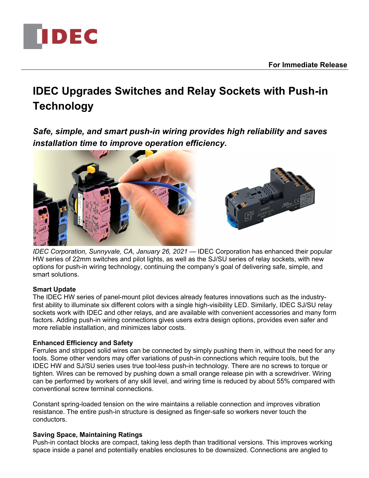

# **IDEC Upgrades Switches and Relay Sockets with Push-in Technology**

*Safe, simple, and smart push-in wiring provides high reliability and saves installation time to improve operation efficiency.*



*IDEC Corporation, Sunnyvale, CA, January 26, 2021* — IDEC Corporation has enhanced their popular HW series of 22mm switches and pilot lights, as well as the SJ/SU series of relay sockets, with new options for push-in wiring technology, continuing the company's goal of delivering safe, simple, and smart solutions.

### **Smart Update**

The IDEC HW series of panel-mount pilot devices already features innovations such as the industryfirst ability to illuminate six different colors with a single high-visibility LED. Similarly, IDEC SJ/SU relay sockets work with IDEC and other relays, and are available with convenient accessories and many form factors. Adding push-in wiring connections gives users extra design options, provides even safer and more reliable installation, and minimizes labor costs.

# **Enhanced Efficiency and Safety**

DEC

Ferrules and stripped solid wires can be connected by simply pushing them in, without the need for any tools. Some other vendors may offer variations of push-in connections which require tools, but the IDEC HW and SJ/SU series uses true tool-less push-in technology. There are no screws to torque or tighten. Wires can be removed by pushing down a small orange release pin with a screwdriver. Wiring can be performed by workers of any skill level, and wiring time is reduced by about 55% compared with conventional screw terminal connections.

Constant spring-loaded tension on the wire maintains a reliable connection and improves vibration resistance. The entire push-in structure is designed as finger-safe so workers never touch the conductors.

# **Saving Space, Maintaining Ratings**

Push-in contact blocks are compact, taking less depth than traditional versions. This improves working space inside a panel and potentially enables enclosures to be downsized. Connections are angled to